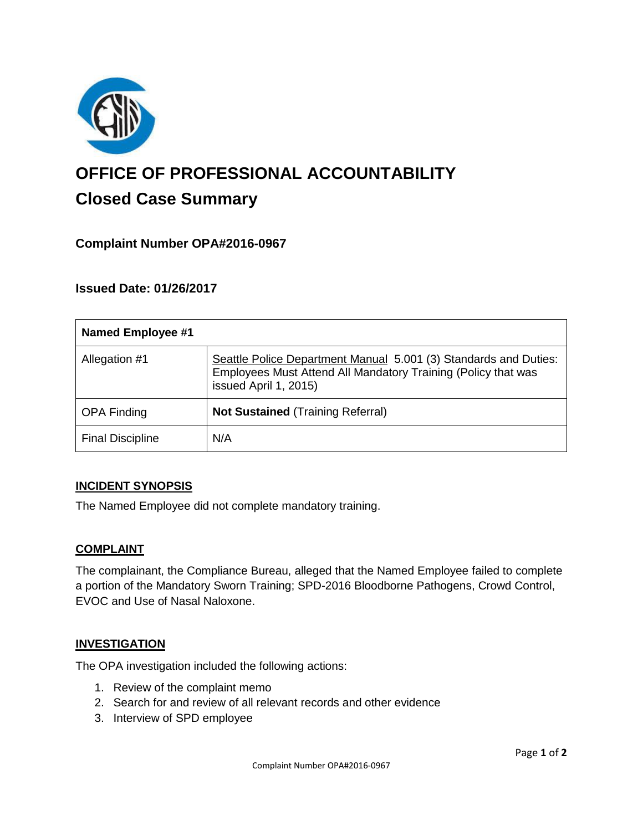

# **OFFICE OF PROFESSIONAL ACCOUNTABILITY Closed Case Summary**

## **Complaint Number OPA#2016-0967**

## **Issued Date: 01/26/2017**

| <b>Named Employee #1</b> |                                                                                                                                                            |
|--------------------------|------------------------------------------------------------------------------------------------------------------------------------------------------------|
| Allegation #1            | Seattle Police Department Manual 5.001 (3) Standards and Duties:<br>Employees Must Attend All Mandatory Training (Policy that was<br>issued April 1, 2015) |
| <b>OPA Finding</b>       | <b>Not Sustained (Training Referral)</b>                                                                                                                   |
| <b>Final Discipline</b>  | N/A                                                                                                                                                        |

### **INCIDENT SYNOPSIS**

The Named Employee did not complete mandatory training.

### **COMPLAINT**

The complainant, the Compliance Bureau, alleged that the Named Employee failed to complete a portion of the Mandatory Sworn Training; SPD-2016 Bloodborne Pathogens, Crowd Control, EVOC and Use of Nasal Naloxone.

### **INVESTIGATION**

The OPA investigation included the following actions:

- 1. Review of the complaint memo
- 2. Search for and review of all relevant records and other evidence
- 3. Interview of SPD employee